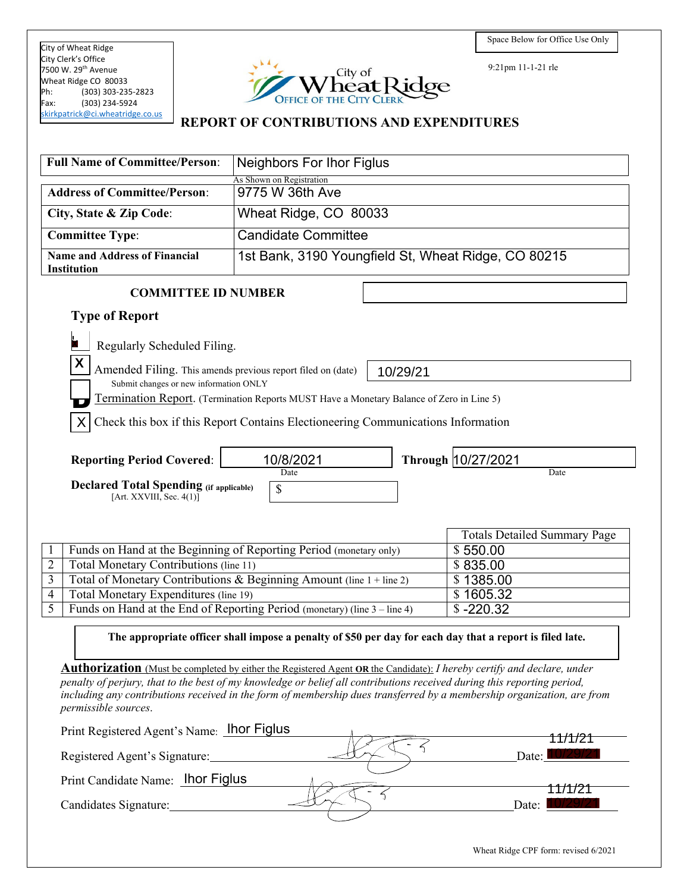City of Wheat Ridge City Clerk's Office 7500 W. 29<sup>th</sup> Avenue Wheat Ridge CO 80033<br>Ph: (303) 303-235  $(303)$  303-235-2823 Fax: (303) 234-5924 [skirkpatrick@ci.wheatridge.co.us](mailto:skirkpatrick@ci.wheatridge.co.us) 



9:21pm 11-1-21 rle

### **REPORT OF CONTRIBUTIONS AND EXPENDITURES**

| <b>Full Name of Committee/Person:</b>                                                                 | <b>Neighbors For Ihor Figlus</b>                                                                                                                                                                                                                         |                                     |
|-------------------------------------------------------------------------------------------------------|----------------------------------------------------------------------------------------------------------------------------------------------------------------------------------------------------------------------------------------------------------|-------------------------------------|
| <b>Address of Committee/Person:</b>                                                                   | As Shown on Registration<br>9775 W 36th Ave                                                                                                                                                                                                              |                                     |
| City, State & Zip Code:                                                                               | Wheat Ridge, CO 80033                                                                                                                                                                                                                                    |                                     |
| <b>Committee Type:</b>                                                                                | <b>Candidate Committee</b>                                                                                                                                                                                                                               |                                     |
|                                                                                                       |                                                                                                                                                                                                                                                          |                                     |
| <b>Name and Address of Financial</b><br><b>Institution</b>                                            | 1st Bank, 3190 Youngfield St, Wheat Ridge, CO 80215                                                                                                                                                                                                      |                                     |
| <b>COMMITTEE ID NUMBER</b>                                                                            |                                                                                                                                                                                                                                                          |                                     |
| <b>Type of Report</b>                                                                                 |                                                                                                                                                                                                                                                          |                                     |
| X<br>Regularly Scheduled Filing.<br>X                                                                 |                                                                                                                                                                                                                                                          |                                     |
| Amended Filing. This amends previous report filed on (date)<br>Submit changes or new information ONLY | 10/29/21                                                                                                                                                                                                                                                 |                                     |
|                                                                                                       | Termination Report. (Termination Reports MUST Have a Monetary Balance of Zero in Line 5)                                                                                                                                                                 |                                     |
|                                                                                                       |                                                                                                                                                                                                                                                          |                                     |
|                                                                                                       | Check this box if this Report Contains Electioneering Communications Information                                                                                                                                                                         |                                     |
|                                                                                                       |                                                                                                                                                                                                                                                          |                                     |
| <b>Reporting Period Covered:</b>                                                                      | 10/8/2021<br>Date                                                                                                                                                                                                                                        | Through 10/27/2021<br>Date          |
| <b>Declared Total Spending (if applicable)</b>                                                        | \$                                                                                                                                                                                                                                                       |                                     |
| [Art. XXVIII, Sec. $4(1)$ ]                                                                           |                                                                                                                                                                                                                                                          |                                     |
|                                                                                                       |                                                                                                                                                                                                                                                          |                                     |
|                                                                                                       |                                                                                                                                                                                                                                                          | <b>Totals Detailed Summary Page</b> |
| $\overline{2}$                                                                                        | Funds on Hand at the Beginning of Reporting Period (monetary only)                                                                                                                                                                                       | \$550.00                            |
| Total Monetary Contributions (line 11)<br>$\overline{3}$                                              | Total of Monetary Contributions & Beginning Amount (line 1 + line 2)                                                                                                                                                                                     | \$835.00<br>\$1385.00               |
| Total Monetary Expenditures (line 19)<br>4                                                            |                                                                                                                                                                                                                                                          | \$1605.32                           |
| 5                                                                                                     | Funds on Hand at the End of Reporting Period (monetary) (line 3 – line 4)                                                                                                                                                                                | $$ -220.32$                         |
|                                                                                                       | The appropriate officer shall impose a penalty of \$50 per day for each day that a report is filed late.                                                                                                                                                 |                                     |
|                                                                                                       |                                                                                                                                                                                                                                                          |                                     |
|                                                                                                       | <b>Authorization</b> (Must be completed by either the Registered Agent OR the Candidate): I hereby certify and declare, under<br>penalty of perjury, that to the best of my knowledge or belief all contributions received during this reporting period, |                                     |
|                                                                                                       | including any contributions received in the form of membership dues transferred by a membership organization, are from                                                                                                                                   |                                     |
| permissible sources.                                                                                  |                                                                                                                                                                                                                                                          |                                     |
| Print Registered Agent's Name: <b>lhor Figlus</b>                                                     |                                                                                                                                                                                                                                                          |                                     |
|                                                                                                       |                                                                                                                                                                                                                                                          |                                     |
| Registered Agent's Signature:                                                                         |                                                                                                                                                                                                                                                          | Date:                               |
| Print Candidate Name: Ihor Figlus                                                                     |                                                                                                                                                                                                                                                          |                                     |
| Candidates Signature:                                                                                 |                                                                                                                                                                                                                                                          | Date:                               |
|                                                                                                       |                                                                                                                                                                                                                                                          |                                     |

Wheat Ridge CPF form: revised 6/2021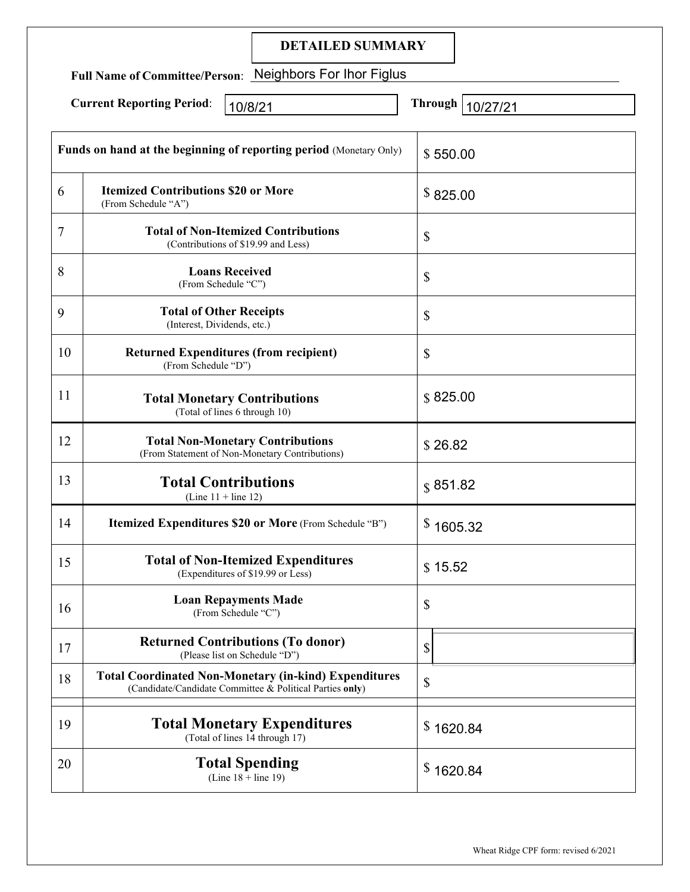# **DETAILED SUMMARY**

**Full Name of Committee/Person**: Neighbors For Ihor Figlus

| <b>Current Reporting Period:</b><br>10/8/21 |                                                                                                                          | <b>Through</b><br>10/27/21 |
|---------------------------------------------|--------------------------------------------------------------------------------------------------------------------------|----------------------------|
|                                             | <b>Funds on hand at the beginning of reporting period</b> (Monetary Only)                                                | \$550.00                   |
| 6                                           | <b>Itemized Contributions \$20 or More</b><br>(From Schedule "A")                                                        | \$825.00                   |
| $\overline{7}$                              | <b>Total of Non-Itemized Contributions</b><br>(Contributions of \$19.99 and Less)                                        | $\mathbb{S}$               |
| 8                                           | <b>Loans Received</b><br>(From Schedule "C")                                                                             | \$                         |
| 9                                           | <b>Total of Other Receipts</b><br>(Interest, Dividends, etc.)                                                            | \$                         |
| 10                                          | <b>Returned Expenditures (from recipient)</b><br>(From Schedule "D")                                                     | \$                         |
| 11                                          | <b>Total Monetary Contributions</b><br>(Total of lines 6 through 10)                                                     | \$825.00                   |
| 12                                          | <b>Total Non-Monetary Contributions</b><br>(From Statement of Non-Monetary Contributions)                                | \$26.82                    |
| 13                                          | <b>Total Contributions</b><br>(Line $11 +$ line 12)                                                                      | \$851.82                   |
| 14                                          | Itemized Expenditures \$20 or More (From Schedule "B")                                                                   | \$1605.32                  |
| 15                                          | <b>Total of Non-Itemized Expenditures</b><br>(Expenditures of \$19.99 or Less)                                           | \$15.52                    |
| 16                                          | <b>Loan Repayments Made</b><br>(From Schedule "C")                                                                       | \$                         |
| 17                                          | <b>Returned Contributions (To donor)</b><br>(Please list on Schedule "D")                                                | $\mathbb{S}$               |
| 18                                          | <b>Total Coordinated Non-Monetary (in-kind) Expenditures</b><br>(Candidate/Candidate Committee & Political Parties only) | $\mathbb{S}$               |
| 19                                          | <b>Total Monetary Expenditures</b><br>(Total of lines 14 through 17)                                                     | \$1620.84                  |
| 20                                          | <b>Total Spending</b><br>(Line $18 +$ line 19)                                                                           | \$1620.84                  |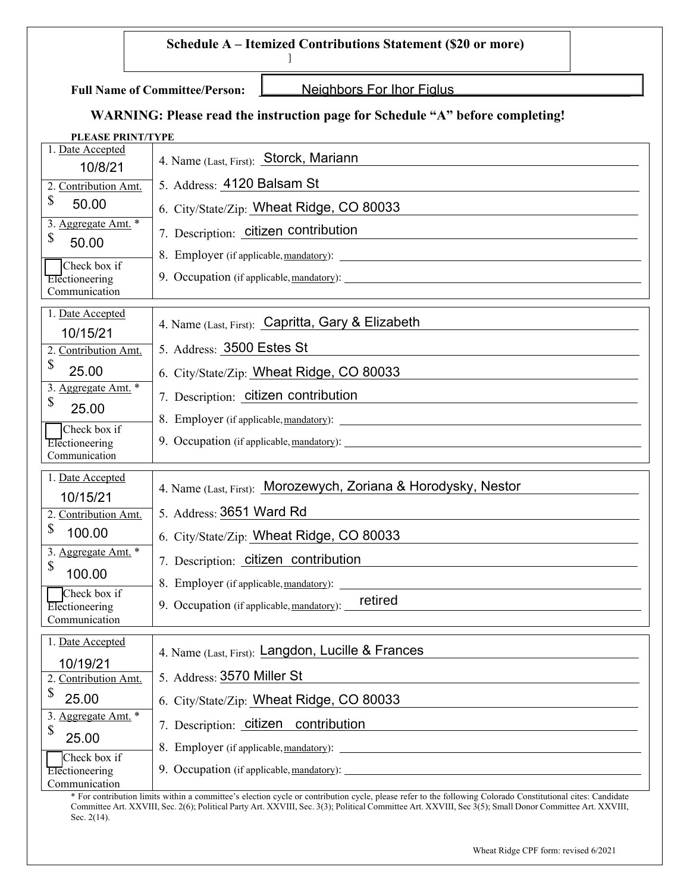

**Full Name of Committee/Person:**

Neighbors For Ihor Figlus

# **WARNING: Please read the instruction page for Schedule "A" before completing!**

]

#### **PLEASE PRINT/TYPE**

| 1. Date Accepted<br>10/8/21                     | 4. Name (Last, First): Storck, Mariann                         |
|-------------------------------------------------|----------------------------------------------------------------|
| 2. Contribution Amt.                            | 5. Address: 4120 Balsam St                                     |
| \$<br>50.00                                     | 6. City/State/Zip: Wheat Ridge, CO 80033                       |
| 3. Aggregate Amt. *<br>\$<br>50.00              | 7. Description: citizen contribution                           |
| Check box if<br>Electioneering                  |                                                                |
| Communication                                   |                                                                |
| 1. Date Accepted<br>10/15/21                    | 4. Name (Last, First): Capritta, Gary & Elizabeth              |
| 2. Contribution Amt.                            | 5. Address: 3500 Estes St                                      |
| \$<br>25.00                                     | 6. City/State/Zip: Wheat Ridge, CO 80033                       |
| 3. Aggregate Amt. *                             | 7. Description: citizen contribution                           |
| \$<br>25.00                                     |                                                                |
| Check box if<br>Electioneering<br>Communication | 9. Occupation (if applicable, mandatory):                      |
|                                                 |                                                                |
| 1. Date Accepted                                |                                                                |
| 10/15/21                                        | 4. Name (Last, First): Morozewych, Zoriana & Horodysky, Nestor |
| 2. Contribution Amt.                            | 5. Address: 3651 Ward Rd                                       |
| \$<br>100.00                                    | 6. City/State/Zip: Wheat Ridge, CO 80033                       |
| 3. Aggregate Amt. *                             | 7. Description: citizen contribution                           |
| \$<br>100.00                                    | 8. Employer (if applicable, mandatory):                        |
| Check box if<br>Electioneering<br>Communication | retired<br>9. Occupation (if applicable, mandatory):           |
| 1. Date Accepted                                |                                                                |
| 10/19/21                                        | 4. Name (Last, First): Langdon, Lucille & Frances              |
| 2. Contribution Amt.                            | 5. Address: 3570 Miller St                                     |
| \$<br>25.00                                     | 6. City/State/Zip: Wheat Ridge, CO 80033                       |
| 3. Aggregate Amt. *<br>\$                       | 7. Description: citizen contribution                           |
| 25.00<br>Check box if                           | 8. Employer (if applicable, mandatory):                        |

\* For contribution limits within a committee's election cycle or contribution cycle, please refer to the following Colorado Constitutional cites: Candidate Committee Art. XXVIII, Sec. 2(6); Political Party Art. XXVIII, Sec. 3(3); Political Committee Art. XXVIII, Sec 3(5); Small Donor Committee Art. XXVIII, Sec. 2(14).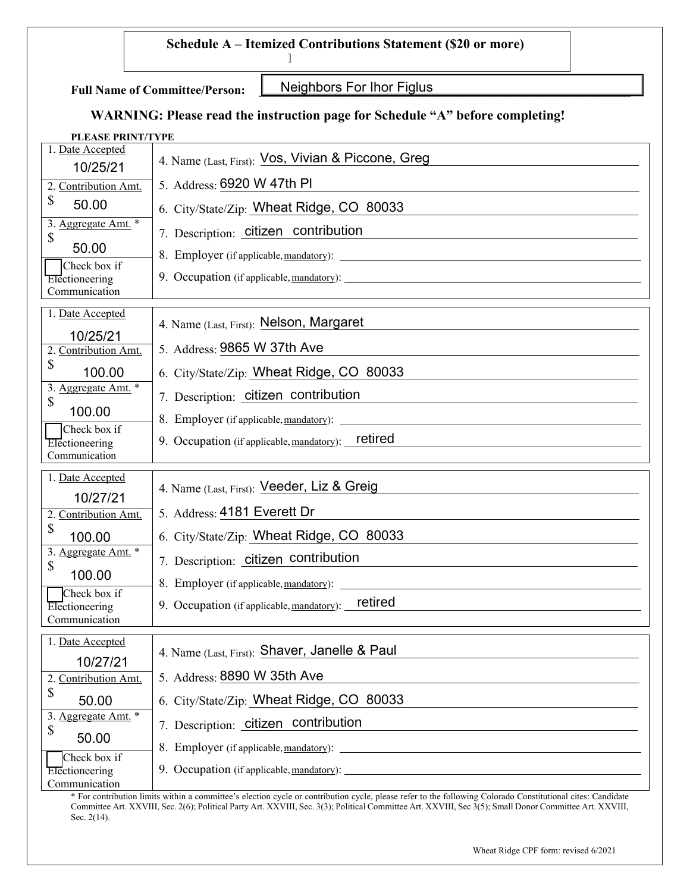#### **Schedule A – Itemized Contributions Statement (\$20 or more)**

**Full Name of Committee/Person:**

\_\_\_\_\_\_\_\_\_\_\_\_\_\_\_\_\_\_\_\_\_\_\_\_\_\_\_\_\_\_\_\_\_\_\_\_\_\_\_\_\_\_\_\_\_\_\_\_\_\_\_\_\_\_\_\_\_\_\_\_ Neighbors For Ihor Figlus

# **WARNING: Please read the instruction page for Schedule "A" before completing!**

]

| 1. Date Accepted                                | 4. Name (Last, First): Vos, Vivian & Piccone, Greg   |
|-------------------------------------------------|------------------------------------------------------|
| 10/25/21<br>2. Contribution Amt.                | 5. Address: 6920 W 47th PI                           |
| \$<br>50.00                                     | 6. City/State/Zip: Wheat Ridge, CO 80033             |
| 3. Aggregate Amt. *                             |                                                      |
| \$<br>50.00                                     | 7. Description: citizen contribution                 |
| Check box if                                    | 8. Employer (if applicable, mandatory):              |
| Electioneering<br>Communication                 |                                                      |
| 1. Date Accepted                                |                                                      |
| 10/25/21                                        | 4. Name (Last, First): Nelson, Margaret              |
| 2. Contribution Amt.                            | 5. Address: 9865 W 37th Ave                          |
| \$<br>100.00                                    | 6. City/State/Zip: Wheat Ridge, CO 80033             |
| Aggregate Amt. *<br>3.<br>\$                    | 7. Description: citizen contribution                 |
| 100.00                                          |                                                      |
| Check box if<br>Electioneering                  | retired<br>9. Occupation (if applicable, mandatory): |
| Communication                                   |                                                      |
|                                                 |                                                      |
| 1. Date Accepted                                |                                                      |
| 10/27/21                                        | 4. Name (Last, First): Veeder, Liz & Greig           |
| 2. Contribution Amt.                            | 5. Address: 4181 Everett Dr                          |
| \$<br>100.00                                    | 6. City/State/Zip: Wheat Ridge, CO 80033             |
| Aggregate Amt. *<br>3.                          | 7. Description: citizen contribution                 |
| \$<br>100.00                                    | 8. Employer (if applicable, mandatory):              |
| Check box if<br>Electioneering                  | retired<br>9. Occupation (if applicable, mandatory): |
| Communication                                   |                                                      |
| 1. Date Accepted                                |                                                      |
| 10/27/21                                        | 4. Name (Last, First): Shaver, Janelle & Paul        |
| 2. Contribution Amt.<br>\$                      | 5. Address: 8890 W 35th Ave                          |
| 50.00                                           | 6. City/State/Zip: Wheat Ridge, CO 80033             |
| 3. Aggregate Amt. *<br>\$                       | 7. Description: citizen contribution                 |
| 50.00                                           |                                                      |
| Check box if<br>Electioneering<br>Communication |                                                      |

\* For contribution limits within a committee's election cycle or contribution cycle, please refer to the following Colorado Constitutional cites: Candidate Committee Art. XXVIII, Sec. 2(6); Political Party Art. XXVIII, Sec. 3(3); Political Committee Art. XXVIII, Sec 3(5); Small Donor Committee Art. XXVIII, Sec. 2(14).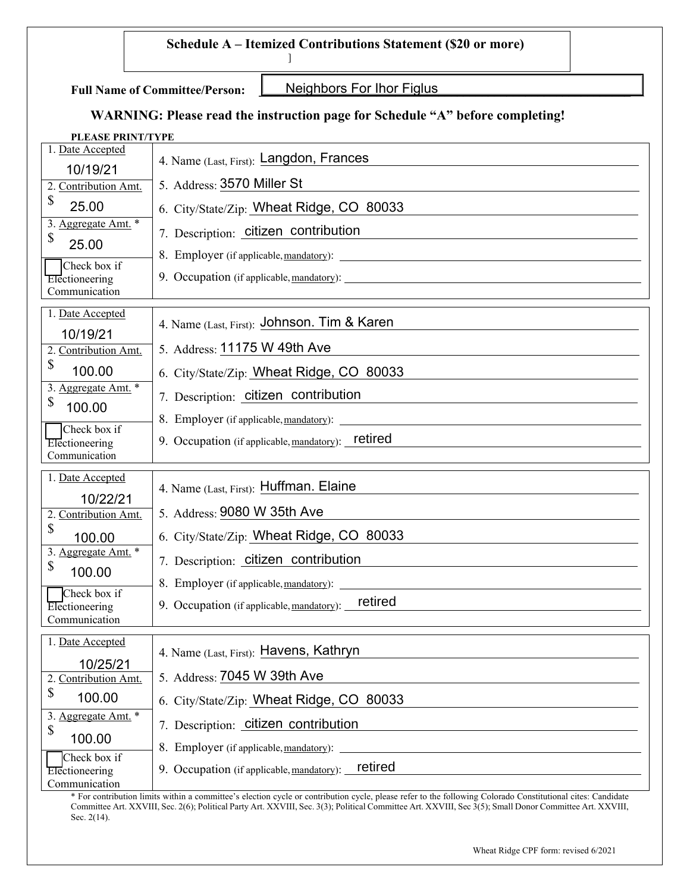

**Full Name of Committee/Person:**

\_\_\_\_\_\_\_\_\_\_\_\_\_\_\_\_\_\_\_\_\_\_\_\_\_\_\_\_\_\_\_\_\_\_\_\_\_\_\_\_\_\_\_\_\_\_\_\_\_\_\_\_\_\_\_\_\_\_\_\_ Neighbors For Ihor Figlus

# **WARNING: Please read the instruction page for Schedule "A" before completing!**

]

#### **PLEASE PRINT/TYPE**

\* For contribution limits within a committee's election cycle or contribution cycle, please refer to the following Colorado Constitutional cites: Candidate Committee Art. XXVIII, Sec. 2(6); Political Party Art. XXVIII, Sec. 3(3); Political Committee Art. XXVIII, Sec 3(5); Small Donor Committee Art. XXVIII, Sec. 2(14).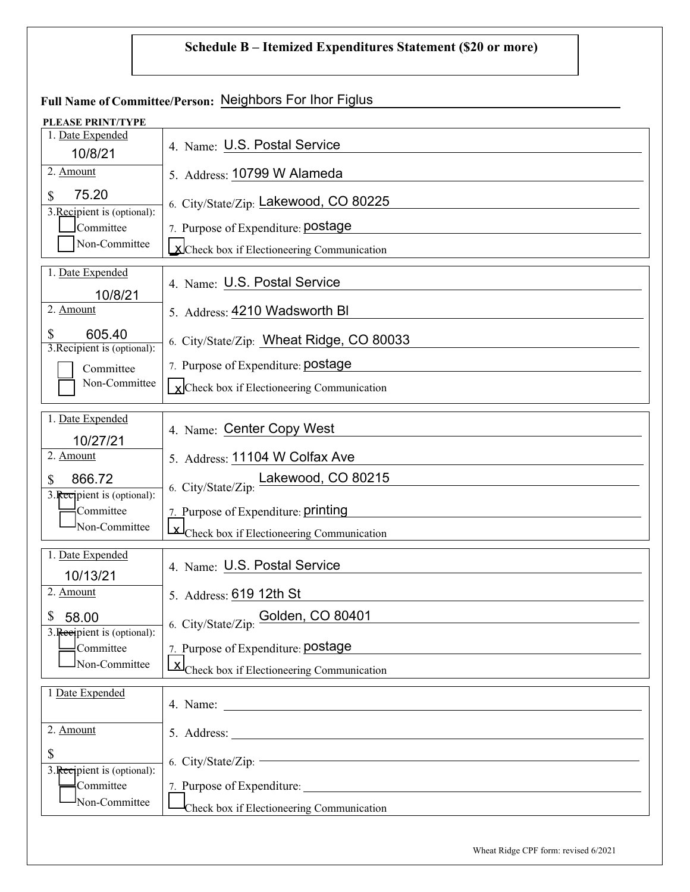# **Schedule B – Itemized Expenditures Statement (\$20 or more)**

| Full Name of Committee/Person: Neighbors For Ihor Figlus |                                                                             |
|----------------------------------------------------------|-----------------------------------------------------------------------------|
| PLEASE PRINT/TYPE                                        |                                                                             |
| 1. Date Expended<br>10/8/21                              | 4. Name: U.S. Postal Service                                                |
| 2. Amount                                                | 5. Address: 10799 W Alameda                                                 |
| 75.20<br>3. Recipient is (optional):<br>Committee        | 6. City/State/Zip: Lakewood, CO 80225<br>7. Purpose of Expenditure: postage |
| Non-Committee                                            | XCheck box if Electioneering Communication                                  |
| 1. Date Expended<br>10/8/21                              | 4. Name: U.S. Postal Service                                                |
| 2. Amount                                                | 5. Address: 4210 Wadsworth BI                                               |
| S<br>605.40<br>3. Recipient is (optional):               | 6. City/State/Zip: Wheat Ridge, CO 80033                                    |
| Committee                                                | 7. Purpose of Expenditure: postage                                          |
| Non-Committee                                            | $\chi$ Check box if Electioneering Communication                            |
| 1. Date Expended                                         |                                                                             |
| 10/27/21                                                 | 4. Name: Center Copy West                                                   |
| 2. Amount                                                | 5. Address: 11104 W Colfax Ave                                              |
| 866.72<br>3. Recipient is (optional):                    | Lakewood, CO 80215<br>6. City/State/Zip:                                    |
| Committee                                                | 7. Purpose of Expenditure: <b>printing</b>                                  |
| Non-Committee                                            | $\Delta L$ Check box if Electioneering Communication                        |
| 1. Date Expended<br>10/13/21                             | 4. Name: U.S. Postal Service                                                |
| 2. Amount                                                | 5. Address: 619 12th St                                                     |
| \$<br>58.00<br>3. Recipient is (optional):               | 6. City/State/Zip: Golden, CO 80401                                         |
| $\exists$ Committee                                      | 7. Purpose of Expenditure: postage                                          |
| Non-Committee                                            | $\left[\frac{X}{\text{Check}}\right]$ box if Electioneering Communication   |
| 1 Date Expended                                          |                                                                             |
| 2. Amount                                                |                                                                             |
| \$<br>3. Recipient is (optional):                        | 6. City/State/Zip:                                                          |
| Committee                                                | 7. Purpose of Expenditure:                                                  |
| Non-Committee                                            | Check box if Electioneering Communication                                   |
|                                                          |                                                                             |